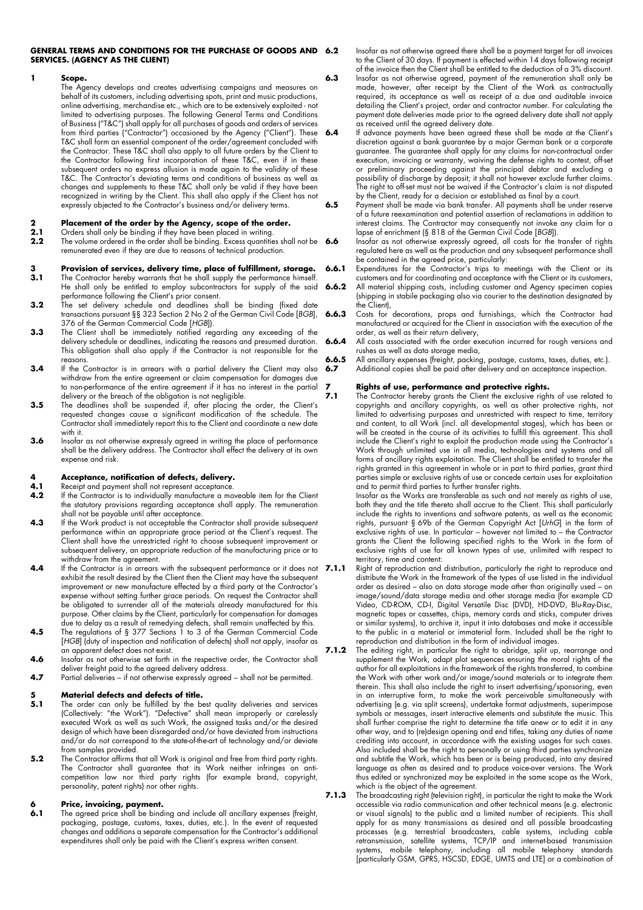#### **GENERAL TERMS AND CONDITIONS FOR THE PURCHASE OF GOODS AND SERVICES. (AGENCY AS THE CLIENT)**

#### **1 Scope.**

The Agency develops and creates advertising campaigns and measures on behalf of its customers, including advertising spots, print and music productions, online advertising, merchandise etc., which are to be extensively exploited - not limited to advertising purposes. The following General Terms and Conditions of Business ("T&C") shall apply for all purchases of goods and orders of services from third parties ("Contractor") occasioned by the Agency ("Client"). These T&C shall form an essential component of the order/agreement concluded with the Contractor. These T&C shall also apply to all future orders by the Client to the Contractor following first incorporation of these T&C, even if in these subsequent orders no express allusion is made again to the validity of these T&C. The Contractor's deviating terms and conditions of business as well as changes and supplements to these T&C shall only be valid if they have been recognized in writing by the Client. This shall also apply if the Client has not expressly objected to the Contractor's business and/or delivery terms.

#### **2 Placement of the order by the Agency, scope of the order.**<br>**2.1** Orders shall only be binding if they have been placed in writing.

- **2.1** Orders shall only be binding if they have been placed in writing.
- **2.2** The volume ordered in the order shall be binding. Excess quantities shall not be **6.6** remunerated even if they are due to reasons of technical production.

### **3 Provision of services, delivery time, place of fulfillment, storage.**<br>**3.1** The Contractor hereby warrants that he shall supply the performance himself.

- **3.1** The Contractor hereby warrants that he shall supply the performance himself. He shall only be entitled to employ subcontractors for supply of the said performance following the Client's prior consent.
- **3.2** The set delivery schedule and deadlines shall be binding (fixed date transactions pursuant §§ 323 Section 2 No 2 of the German Civil Code [*BGB*], 376 of the German Commercial Code [*HGB*]).
- **3.3** The Client shall be immediately notified regarding any exceeding of the delivery schedule or deadlines, indicating the reasons and presumed duration. This obligation shall also apply if the Contractor is not responsible for the reasons.
- **3.4** If the Contractor is in arrears with a partial delivery the Client may also withdraw from the entire agreement or claim compensation for damages due to non-performance of the entire agreement if it has no interest in the partial delivery or the breach of the obligation is not negligible.
- **3.5** The deadlines shall be suspended if, after placing the order, the Client's requested changes cause a significant modification of the schedule. The Contractor shall immediately report this to the Client and coordinate a new date with it.
- **3.6** Insofar as not otherwise expressly agreed in writing the place of performance shall be the delivery address. The Contractor shall effect the delivery at its own expense and risk.

# **4 Acceptance, notification of defects, delivery.**

- **4.1** Receipt and payment shall not represent acceptance.
- **4.2** If the Contractor is to individually manufacture a moveable item for the Client the statutory provisions regarding acceptance shall apply. The remuneration shall not be payable until after acceptance.
- **4.3** If the Work product is not acceptable the Contractor shall provide subsequent performance within an appropriate grace period at the Client's request. The Client shall have the unrestricted right to choose subsequent improvement or subsequent delivery, an appropriate reduction of the manufacturing price or to withdraw from the agreement.
- **4.4** If the Contractor is in arrears with the subsequent performance or it does not 7.1.1 exhibit the result desired by the Client then the Client may have the subsequent improvement or new manufacture effected by a third party at the Contractor's expense without setting further grace periods. On request the Contractor shall be obligated to surrender all of the materials already manufactured for this purpose. Other claims by the Client, particularly for compensation for damages due to delay as a result of remedying defects, shall remain unaffected by this.
- **4.5** The regulations of § 377 Sections 1 to 3 of the German Commercial Code [*HGB*] (duty of inspection and notification of defects) shall not apply, insofar as an apparent defect does not exist.
- **4.6** Insofar as not otherwise set forth in the respective order, the Contractor shall deliver freight paid to the agreed delivery address.
- **4.7** Partial deliveries if not otherwise expressly agreed shall not be permitted.

# **5 Material defects and defects of title.**<br>**5.1** The order can only be fulfilled by the be

- **5.1** The order can only be fulfilled by the best quality deliveries and services (Collectively: "the Work"). "Defective" shall mean improperly or carelessly executed Work as well as such Work, the assigned tasks and/or the desired design of which have been disregarded and/or have deviated from instructions and/or do not correspond to the state-of-the-art of technology and/or deviate from samples provided.
- **5.2** The Contractor affirms that all Work is original and free from third party rights. The Contractor shall guarantee that its Work neither infringes on anticompetition law nor third party rights (for example brand, copyright, personality, patent rights) nor other rights.

### **6 Price, invoicing, payment.**<br>**6.1** The gareed price shall be bind

**6.1** The agreed price shall be binding and include all ancillary expenses (freight, packaging, postage, customs, taxes, duties, etc.). In the event of requested changes and additions a separate compensation for the Contractor's additional expenditures shall only be paid with the Client's express written consent.

**6.2** Insofar as not otherwise agreed there shall be a payment target for all invoices to the Client of 30 days. If payment is effected within 14 days following receipt of the invoice then the Client shall be entitled to the deduction of a 3% discount.

**6.3** Insofar as not otherwise agreed, payment of the remuneration shall only be made, however, after receipt by the Client of the Work as contractually required, its acceptance as well as receipt of a due and auditable invoice detailing the Client's project, order and contractor number. For calculating the payment date deliveries made prior to the agreed delivery date shall not apply as received until the agreed delivery date.

**6.4** If advance payments have been agreed these shall be made at the Client's discretion against a bank guarantee by a major German bank or a corporate guarantee. The guarantee shall apply for any claims for non-contractual order execution, invoicing or warranty, waiving the defense rights to contest, off-set or preliminary proceeding against the principal debtor and excluding a possibility of discharge by deposit; it shall not however exclude further claims. The right to off-set must not be waived if the Contractor's claim is not disputed by the Client, ready for a decision or established as final by a court.

**6.5** Payment shall be made via bank transfer. All payments shall be under reserve of a future reexamination and potential assertion of reclamations in addition to interest claims. The Contractor may consequently not invoke any claim for a lapse of enrichment (§ 818 of the German Civil Code [*BGB*]).

Insofar as not otherwise expressly agreed, all costs for the transfer of rights regulated here as well as the production and any subsequent performance shall be contained in the agreed price, particularly:

**6.6.1** Expenditures for the Contractor's trips to meetings with the Client or its customers and for coordinating and acceptance with the Client or its customers,

**6.6.2** All material shipping costs, including customer and Agency specimen copies (shipping in stabile packaging also via courier to the destination designated by the Client),

**6.6.3** Costs for decorations, props and furnishings, which the Contractor had manufactured or acquired for the Client in association with the execution of the order, as well as their return delivery,

**6.6.4** All costs associated with the order execution incurred for rough versions and rushes as well as data storage media,

**6.6.5** All ancillary expenses (freight, packing, postage, customs, taxes, duties, etc.).

**6.7** Additional copies shall be paid after delivery and an acceptance inspection.

### **7 <b>Rights of use, performance and protective rights.**<br>**7.1** The Contractor hereby grants the Client the exclusive right

**7.1** The Contractor hereby grants the Client the exclusive rights of use related to copyrights and ancillary copyrights, as well as other protective rights, not limited to advertising purposes and unrestricted with respect to time, territory and content, to all Work (incl. all developmental stages), which has been or will be created in the course of its activities to fulfill this agreement. This shall include the Client's right to exploit the production made using the Contractor's Work through unlimited use in all media, technologies and systems and all forms of ancillary rights exploitation. The Client shall be entitled to transfer the rights granted in this agreement in whole or in part to third parties, grant third parties simple or exclusive rights of use or concede certain uses for exploitation and to permit third parties to further transfer rights.

Insofar as the Works are transferable as such and not merely as rights of use, both they and the title thereto shall accrue to the Client. This shall particularly include the rights to inventions and software patents, as well as the economic rights, pursuant § 69b of the German Copyright Act [*UrhG*] in the form of exclusive rights of use. In particular – however not limited to – the Contractor grants the Client the following specified rights to the Work in the form of exclusive rights of use for all known types of use, unlimited with respect to territory, time and content:

- **7.1.1** Right of reproduction and distribution, particularly the right to reproduce and distribute the Work in the framework of the types of use listed in the individual order as desired – also on data storage made other than originally used – on image/sound/data storage media and other storage media (for example CD Video, CD-ROM, CD-I, Digital Versatile Disc (DVD), HD-DVD, Blu-Ray-Disc, magnetic tapes or cassettes, chips, memory cards and sticks, computer drives or similar systems), to archive it, input it into databases and make it accessible to the public in a material or immaterial form. Included shall be the right to reproduction and distribution in the form of individual images.
- **7.1.2** The editing right, in particular the right to abridge, split up, rearrange and supplement the Work, adapt plot sequences ensuring the moral rights of the author for all exploitations in the framework of the rights transferred, to combine the Work with other work and/or image/sound materials or to integrate them therein. This shall also include the right to insert advertising/sponsoring, even in an interruptive form, to make the work perceivable simultaneously with advertising (e.g. via split screens), undertake format adjustments, superimpose symbols or messages, insert interactive elements and substitute the music. This shall further comprise the right to determine the title anew or to edit it in any other way, and to (re)design opening and end titles, taking any duties of name crediting into account, in accordance with the existing usages for such cases. Also included shall be the right to personally or using third parties synchronize and subtitle the Work, which has been or is being produced, into any desired language as often as desired and to produce voice-over versions. The Work thus edited or synchronized may be exploited in the same scope as the Work, which is the object of the agreement.
- **7.1.3** The broadcasting right (television right), in particular the right to make the Work accessible via radio communication and other technical means (e.g. electronic or visual signals) to the public and a limited number of recipients. This shall apply for as many transmissions as desired and all possible broadcasting processes (e.g. terrestrial broadcasters, cable systems, including cable retransmission, satellite systems, TCP/IP and internet-based transmission systems, mobile telephony, including all mobile telephony standards [particularly GSM, GPRS, HSCSD, EDGE, UMTS and LTE] or a combination of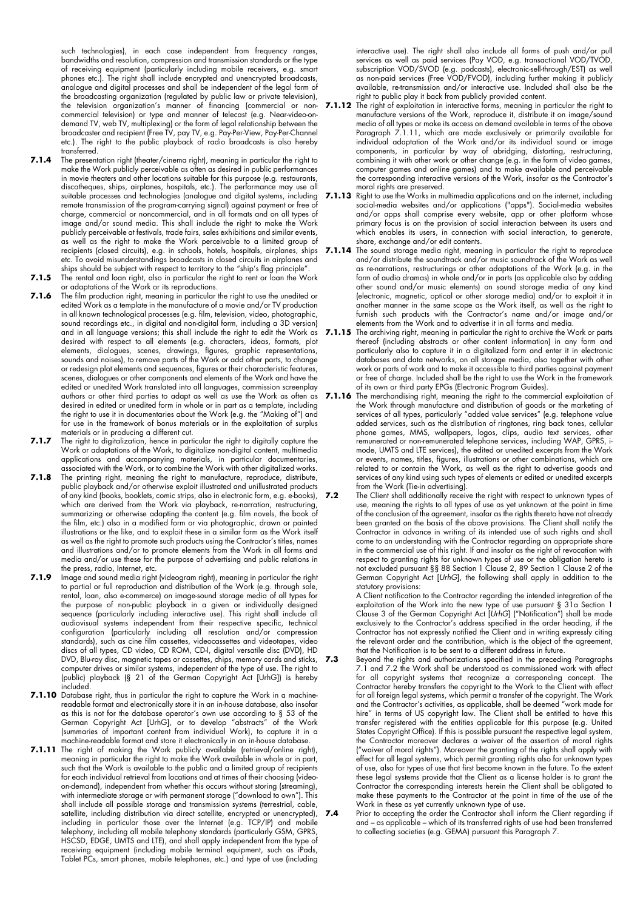such technologies), in each case independent from frequency ranges, bandwidths and resolution, compression and transmission standards or the type of receiving equipment (particularly including mobile receivers, e.g. smart phones etc.). The right shall include encrypted and unencrypted broadcasts, analogue and digital processes and shall be independent of the legal form of the broadcasting organization (regulated by public law or private television), the television organization's manner of financing (commercial or noncommercial television) or type and manner of telecast (e.g. Near-video-ondemand TV, web TV, multiplexing) or the form of legal relationship between the broadcaster and recipient (Free TV, pay TV, e.g. Pay-Per-View, Pay-Per-Channel etc.). The right to the public playback of radio broadcasts is also hereby transferred.

- **7.1.4** The presentation right (theater/cinema right), meaning in particular the right to make the Work publicly perceivable as often as desired in public performances in movie theaters and other locations suitable for this purpose (e.g. restaurants, discotheques, ships, airplanes, hospitals, etc.). The performance may use all suitable processes and technologies (analogue and digital systems, including remote transmission of the program-carrying signal) against payment or free of charge, commercial or noncommercial, and in all formats and on all types of image and/or sound media. This shall include the right to make the Work publicly perceivable at festivals, trade fairs, sales exhibitions and similar events, as well as the right to make the Work perceivable to a limited group of recipients (closed circuits), e.g. in schools, hotels, hospitals, airplanes, ships etc. To avoid misunderstandings broadcasts in closed circuits in airplanes and ships should be subject with respect to territory to the "ship's flag principle".
- **7.1.5** The rental and loan right, also in particular the right to rent or loan the Work or adaptations of the Work or its reproductions.
- **7.1.6** The film production right, meaning in particular the right to use the unedited or edited Work as a template in the manufacture of a movie and/or TV production in all known technological processes (e.g. film, television, video, photographic, sound recordings etc., in digital and non-digital form, including a 3D version) and in all language versions; this shall include the right to edit the Work as desired with respect to all elements (e.g. characters, ideas, formats, plot elements, dialogues, scenes, drawings, figures, graphic representations, sounds and noises), to remove parts of the Work or add other parts, to change or redesign plot elements and sequences, figures or their characteristic features, scenes, dialogues or other components and elements of the Work and have the edited or unedited Work translated into all languages, commission screenplay authors or other third parties to adapt as well as use the Work as often as desired in edited or unedited form in whole or in part as a template, including the right to use it in documentaries about the Work (e.g. the "Making of") and for use in the framework of bonus materials or in the exploitation of surplus materials or in producing a different cut.
- **7.1.7** The right to digitalization, hence in particular the right to digitally capture the Work or adaptations of the Work, to digitalize non-digital content, multimedia applications and accompanying materials, in particular documentaries, associated with the Work, or to combine the Work with other digitalized works.
- **7.1.8** The printing right, meaning the right to manufacture, reproduce, distribute, public playback and/or otherwise exploit illustrated and unillustrated products of any kind (books, booklets, comic strips, also in electronic form, e.g. e-books), which are derived from the Work via playback, re-narration, restructuring, summarizing or otherwise adapting the content (e.g. film novels, the book of the film, etc.) also in a modified form or via photographic, drawn or painted illustrations or the like, and to exploit these in a similar form as the Work itself as well as the right to promote such products using the Contractor's titles, names and illustrations and/or to promote elements from the Work in all forms and media and/or use these for the purpose of advertising and public relations in the press, radio, Internet, etc.
- **7.1.9** Image and sound media right (videogram right), meaning in particular the right to partial or full reproduction and distribution of the Work (e.g. through sale, rental, loan, also e-commerce) on image-sound storage media of all types for the purpose of non-public playback in a given or individually designed sequence (particularly including interactive use). This right shall include all audiovisual systems independent from their respective specific, technical configuration (particularly including all resolution and/or compression standards), such as cine film cassettes, videocassettes and videotapes, video discs of all types, CD video, CD ROM, CD-I, digital versatile disc (DVD), HD DVD, Blu-ray disc, magnetic tapes or cassettes, chips, memory cards and sticks, computer drives or similar systems, independent of the type of use. The right to (public) playback (§ 21 of the German Copyright Act [UrhG]) is hereby included.
- **7.1.10** Database right, thus in particular the right to capture the Work in a machinereadable format and electronically store it in an in-house database, also insofar as this is not for the database operator's own use according to § 53 of the German Copyright Act [UrhG], or to develop "abstracts" of the Work (summaries of important content from individual Work), to capture it in a machine-readable format and store it electronically in an in-house database.
- **7.1.11** The right of making the Work publicly available (retrieval/online right), meaning in particular the right to make the Work available in whole or in part, such that the Work is available to the public and a limited group of recipients for each individual retrieval from locations and at times of their choosing (videoon-demand), independent from whether this occurs without storing (streaming), with intermediate storage or with permanent storage ("download to own"). This shall include all possible storage and transmission systems (terrestrial, cable, satellite, including distribution via direct satellite, encrypted or unencrypted), including in particular those over the Internet (e.g. TCP/IP) and mobile telephony, including all mobile telephony standards (particularly GSM, GPRS, HSCSD, EDGE, UMTS and LTE), and shall apply independent from the type of receiving equipment (including mobile terminal equipment, such as iPads, Tablet PCs, smart phones, mobile telephones, etc.) and type of use (including

interactive use). The right shall also include all forms of push and/or pull services as well as paid services (Pay VOD, e.g. transactional VOD/TVOD, subscription VOD/SVOD (e.g. podcasts), electronic-sell-through/EST) as well as non-paid services (Free VOD/FVOD), including further making it publicly available, re-transmission and/or interactive use. Included shall also be the right to public play it back from publicly provided content.

- **7.1.12** The right of exploitation in interactive forms, meaning in particular the right to manufacture versions of the Work, reproduce it, distribute it on image/sound media of all types or make its access on demand available in terms of the above Paragraph 7.1.11, which are made exclusively or primarily available for individual adaptation of the Work and/or its individual sound or image components, in particular by way of abridging, distorting, restructuring, combining it with other work or other change (e.g. in the form of video games, computer games and online games) and to make available and perceivable the corresponding interactive versions of the Work, insofar as the Contractor's moral rights are preserved.
- **7.1.13** Right to use the Works in multimedia applications and on the internet, including social-media websites and/or applications ("apps"). Social-media websites and/or apps shall comprise every website, app or other platform whose primary focus is on the provision of social interaction between its users and which enables its users, in connection with social interaction, to generate, share, exchange and/or edit contents.
- **7.1.14** The sound storage media right, meaning in particular the right to reproduce and/or distribute the soundtrack and/or music soundtrack of the Work as well as re-narrations, restructurings or other adaptations of the Work (e.g. in the form of audio dramas) in whole and/or in parts (as applicable also by adding other sound and/or music elements) on sound storage media of any kind (electronic, magnetic, optical or other storage media) and/or to exploit it in another manner in the same scope as the Work itself, as well as the right to furnish such products with the Contractor's name and/or image and/or elements from the Work and to advertise it in all forms and media.
- **7.1.15** The archiving right, meaning in particular the right to archive the Work or parts thereof (including abstracts or other content information) in any form and particularly also to capture it in a digitalized form and enter it in electronic databases and data networks, on all storage media, also together with other work or parts of work and to make it accessible to third parties against payment or free of charge. Included shall be the right to use the Work in the framework of its own or third party EPGs (Electronic Program Guides).
- **7.1.16** The merchandising right, meaning the right to the commercial exploitation of the Work through manufacture and distribution of goods or the marketing of services of all types, particularly "added value services" (e.g. telephone value added services, such as the distribution of ringtones, ring back tones, cellular phone games, MMS, wallpapers, logos, clips, audio text services, other remunerated or non-remunerated telephone services, including WAP, GPRS, imode, UMTS and LTE services), the edited or unedited excerpts from the Work or events, names, titles, figures, illustrations or other combinations, which are related to or contain the Work, as well as the right to advertise goods and services of any kind using such types of elements or edited or unedited excerpts from the Work (Tie-in advertising).
- **7.2** The Client shall additionally receive the right with respect to unknown types of use, meaning the rights to all types of use as yet unknown at the point in time of the conclusion of the agreement, insofar as the rights thereto have not already been granted on the basis of the above provisions. The Client shall notify the Contractor in advance in writing of its intended use of such rights and shall come to an understanding with the Contractor regarding an appropriate share in the commercial use of this right. If and insofar as the right of revocation with respect to granting rights for unknown types of use or the obligation hereto is not excluded pursuant §§ 88 Section 1 Clause 2, 89 Section 1 Clause 2 of the German Copyright Act [*UrhG*], the following shall apply in addition to the statutory provisions:

A Client notification to the Contractor regarding the intended integration of the exploitation of the Work into the new type of use pursuant § 31a Section 1 Clause 3 of the German Copyright Act [*UrhG*] ("Notification") shall be made exclusively to the Contractor's address specified in the order heading, if the Contractor has not expressly notified the Client and in writing expressly citing the relevant order and the contribution, which is the object of the agreement, that the Notification is to be sent to a different address in future.

**7.3** Beyond the rights and authorizations specified in the preceding Paragraphs 7.1 and 7.2 the Work shall be understood as commissioned work with effect for all copyright systems that recognize a corresponding concept. The Contractor hereby transfers the copyright to the Work to the Client with effect for all foreign legal systems, which permit a transfer of the copyright. The Work and the Contractor's activities, as applicable, shall be deemed "work made for hire" in terms of US copyright law. The Client shall be entitled to have this transfer registered with the entities applicable for this purpose (e.g. United States Copyright Office). If this is possible pursuant the respective legal system, the Contractor moreover declares a waiver of the assertion of moral rights ("waiver of moral rights"). Moreover the granting of the rights shall apply with effect for all legal systems, which permit granting rights also for unknown types of use, also for types of use that first become known in the future. To the extent these legal systems provide that the Client as a license holder is to grant the Contractor the corresponding interests herein the Client shall be obligated to make these payments to the Contractor at the point in time of the use of the Work in these as yet currently unknown type of use.

Prior to accepting the order the Contractor shall inform the Client regarding if and – as applicable – which of its transferred rights of use had been transferred to collecting societies (e.g. GEMA) pursuant this Paragraph 7.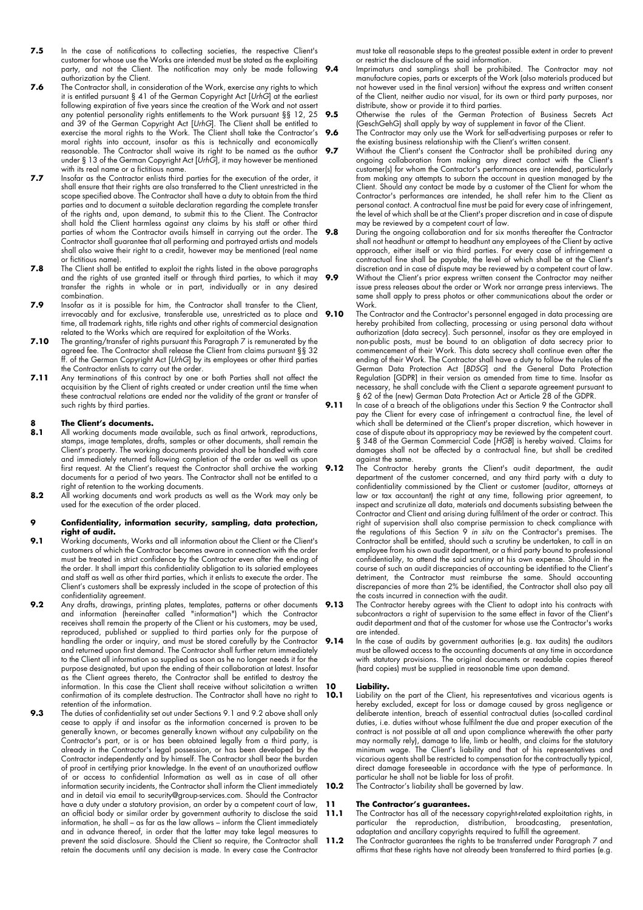- 7.5 In the case of notifications to collecting societies, the respective Client's customer for whose use the Works are intended must be stated as the exploiting party, and not the Client. The notification may only be made following authorization by the Client.
- **7.6** The Contractor shall, in consideration of the Work, exercise any rights to which it is entitled pursuant § 41 of the German Copyright Act [*UrhG*] at the earliest following expiration of five years since the creation of the Work and not assert any potential personality rights entitlements to the Work pursuant §§ 12, 25 and 39 of the German Copyright Act [*UrhG*]. The Client shall be entitled to exercise the moral rights to the Work. The Client shall take the Contractor's moral rights into account, insofar as this is technically and economically reasonable. The Contractor shall waive its right to be named as the author under § 13 of the German Copyright Act [*UrhG*], it may however be mentioned with its real name or a fictitious name.
- **7.7** Insofar as the Contractor enlists third parties for the execution of the order, it shall ensure that their rights are also transferred to the Client unrestricted in the scope specified above. The Contractor shall have a duty to obtain from the third parties and to document a suitable declaration regarding the complete transfer of the rights and, upon demand, to submit this to the Client. The Contractor shall hold the Client harmless against any claims by his staff or other third parties of whom the Contractor avails himself in carrying out the order. The Contractor shall guarantee that all performing and portrayed artists and models shall also waive their right to a credit, however may be mentioned (real name or fictitious name).
- **7.8** The Client shall be entitled to exploit the rights listed in the above paragraphs and the rights of use granted itself or through third parties, to which it may transfer the rights in whole or in part, individually or in any desired combination.
- **7.9** Insofar as it is possible for him, the Contractor shall transfer to the Client, irrevocably and for exclusive, transferable use, unrestricted as to place and time, all trademark rights, title rights and other rights of commercial designation related to the Works which are required for exploitation of the Works.
- **7.10** The granting/transfer of rights pursuant this Paragraph 7 is remunerated by the agreed fee. The Contractor shall release the Client from claims pursuant §§ 32 ff. of the German Copyright Act [*UrhG*] by its employees or other third parties the Contractor enlists to carry out the order.
- **7.11** Any terminations of this contract by one or both Parties shall not affect the acquisition by the Client of rights created or under creation until the time when these contractual relations are ended nor the validity of the grant or transfer of such rights by third parties.

### **8 The Client's documents.**<br>**8.1** All working documents mad

- **8.1** All working documents made available, such as final artwork, reproductions, stamps, image templates, drafts, samples or other documents, shall remain the Client's property. The working documents provided shall be handled with care and immediately returned following completion of the order as well as upon first request. At the Client's request the Contractor shall archive the working documents for a period of two years. The Contractor shall not be entitled to a right of retention to the working documents.
- **8.2** All working documents and work products as well as the Work may only be used for the execution of the order placed.

#### **9 Confidentiality, information security, sampling, data protection, right of audit.**

- **9.1** Working documents, Works and all information about the Client or the Client's customers of which the Contractor becomes aware in connection with the order must be treated in strict confidence by the Contractor even after the ending of the order. It shall impart this confidentiality obligation to its salaried employees and staff as well as other third parties, which it enlists to execute the order. The Client's customers shall be expressly included in the scope of protection of this confidentiality agreement.
- **9.2** Any drafts, drawings, printing plates, templates, patterns or other documents and information (hereinafter called "information") which the Contractor receives shall remain the property of the Client or his customers, may be used, reproduced, published or supplied to third parties only for the purpose of handling the order or inquiry, and must be stored carefully by the Contractor and returned upon first demand. The Contractor shall further return immediately to the Client all information so supplied as soon as he no longer needs it for the purpose designated, but upon the ending of their collaboration at latest. Insofar as the Client agrees thereto, the Contractor shall be entitled to destroy the information. In this case the Client shall receive without solicitation a written confirmation of its complete destruction. The Contractor shall have no right to retention of the information.
- **9.3** The duties of confidentiality set out under Sections 9.1 and 9.2 above shall only cease to apply if and insofar as the information concerned is proven to be generally known, or becomes generally known without any culpability on the Contractor's part, or is or has been obtained legally from a third party, is already in the Contractor's legal possession, or has been developed by the Contractor independently and by himself. The Contractor shall bear the burden of proof in certifying prior knowledge. In the event of an unauthorized outflow of or access to confidential Information as well as in case of all other information security incidents, the Contractor shall inform the Client immediately and in detail via email to security@group-services.com. Should the Contractor have a duty under a statutory provision, an order by a competent court of law, an official body or similar order by government authority to disclose the said information, he shall – as far as the law allows – inform the Client immediately and in advance thereof, in order that the latter may take legal measures to prevent the said disclosure. Should the Client so require, the Contractor shall retain the documents until any decision is made. In every case the Contractor

must take all reasonable steps to the greatest possible extent in order to prevent or restrict the disclosure of the said information.

- **9.4** Imprimaturs and samplings shall be prohibited. The Contractor may not manufacture copies, parts or excerpts of the Work (also materials produced but not however used in the final version) without the express and written consent of the Client, neither audio nor visual, for its own or third party purposes, nor distribute, show or provide it to third parties.
	- **9.5** Otherwise the rules of the German Protection of Business Secrets Act (GeschGehG) shall apply by way of supplement in favor of the Client.
- **9.6** The Contractor may only use the Work for self-advertising purposes or refer to the existing business relationship with the Client's written consent.
- **9.7** Without the Client's consent the Contractor shall be prohibited during any ongoing collaboration from making any direct contact with the Client's customer(s) for whom the Contractor's performances are intended, particularly from making any attempts to suborn the account in question managed by the Client. Should any contact be made by a customer of the Client for whom the Contractor's performances are intended, he shall refer him to the Client as personal contact. A contractual fine must be paid for every case of infringement, the level of which shall be at the Client's proper discretion and in case of dispute may be reviewed by a competent court of law.
- **9.8** During the ongoing collaboration and for six months thereafter the Contractor shall not headhunt or attempt to headhunt any employees of the Client by active approach, either itself or via third parties. For every case of infringement a contractual fine shall be payable, the level of which shall be at the Client's discretion and in case of dispute may be reviewed by a competent court of law. **9.9** Without the Client's prior express written consent the Contractor may neither issue press releases about the order or Work nor arrange press interviews. The
- same shall apply to press photos or other communications about the order or Work. **9.10** The Contractor and the Contractor's personnel engaged in data processing are hereby prohibited from collecting, processing or using personal data without
	- authorization (data secrecy). Such personnel, insofar as they are employed in non-public posts, must be bound to an obligation of data secrecy prior to commencement of their Work. This data secrecy shall continue even after the ending of their Work. The Contractor shall have a duty to follow the rules of the German Data Protection Act [*BDSG*] and the General Data Protection Regulation [GDPR] in their version as amended from time to time. Insofar as necessary, he shall conclude with the Client a separate agreement pursuant to § 62 of the (new) German Data Protection Act or Article 28 of the GDPR.
- **9.11** In case of a breach of the obligations under this Section 9 the Contractor shall pay the Client for every case of infringement a contractual fine, the level of which shall be determined at the Client's proper discretion, which however in case of dispute about its appropriacy may be reviewed by the competent court. § 348 of the German Commercial Code [*HGB*] is hereby waived. Claims for damages shall not be affected by a contractual fine, but shall be credited against the same.
- **9.12** The Contractor hereby grants the Client's audit department, the audit department of the customer concerned, and any third party with a duty to confidentiality commissioned by the Client or customer (auditor, attorneys at law or tax accountant) the right at any time, following prior agreement, to inspect and scrutinize all data, materials and documents subsisting between the Contractor and Client and arising during fulfilment of the order or contract. This right of supervision shall also comprise permission to check compliance with the regulations of this Section 9 *in situ* on the Contractor's premises. The Contractor shall be entitled, should such a scrutiny be undertaken, to call in an employee from his own audit department, or a third party bound to professional confidentiality, to attend the said scrutiny at his own expense. Should in the course of such an audit discrepancies of accounting be identified to the Client's detriment, the Contractor must reimburse the same. Should accounting discrepancies of more than 2% be identified, the Contractor shall also pay all the costs incurred in connection with the audit.
- **9.13** The Contractor hereby agrees with the Client to adopt into his contracts with subcontractors a right of supervision to the same effect in favor of the Client's audit department and that of the customer for whose use the Contractor's works are intended.
- **9.14** In the case of audits by government authorities (e.g. tax audits) the auditors must be allowed access to the accounting documents at any time in accordance with statutory provisions. The original documents or readable copies thereof (hard copies) must be supplied in reasonable time upon demand.

### **10 Liability.**

- **10.1** Liability on the part of the Client, his representatives and vicarious agents is hereby excluded, except for loss or damage caused by gross negligence or deliberate intention, breach of essential contractual duties (so-called cardinal duties, i.e. duties without whose fulfilment the due and proper execution of the contract is not possible at all and upon compliance wherewith the other party may normally rely), damage to life, limb or health, and claims for the statutory minimum wage. The Client's liability and that of his representatives and vicarious agents shall be restricted to compensation for the contractually typical, direct damage foreseeable in accordance with the type of performance. In particular he shall not be liable for loss of profit.
- **10.2** The Contractor's liability shall be governed by law.

#### **11 The Contractor's guarantees.**

- The Contractor has all of the necessary copyright-related exploitation rights, in particular the reproduction, distribution, broadcasting, presentation, adaptation and ancillary copyrights required to fulfill the agreement.
- **11.2** The Contractor guarantees the rights to be transferred under Paragraph 7 and affirms that these rights have not already been transferred to third parties (e.g.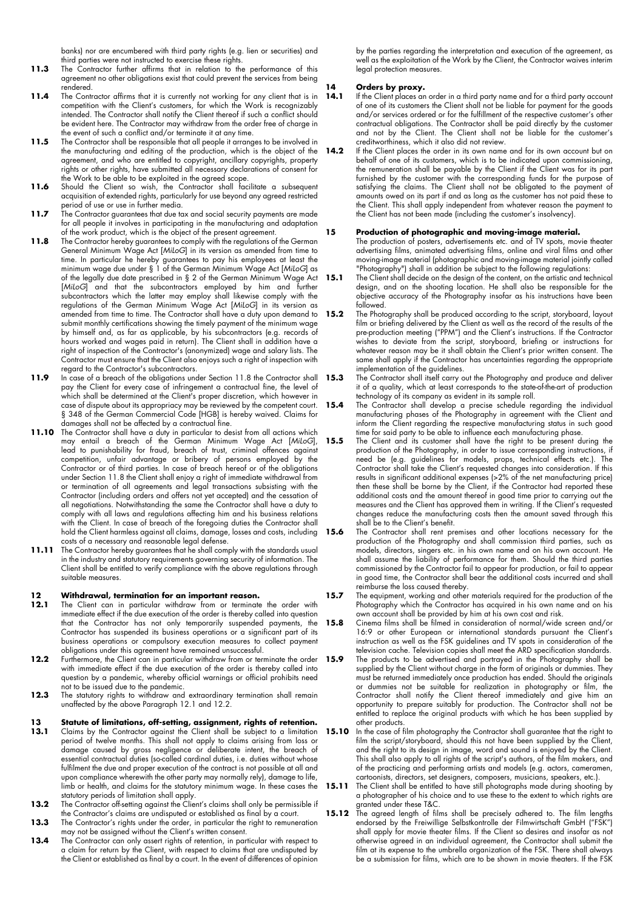banks) nor are encumbered with third party rights (e.g. lien or securities) and third parties were not instructed to exercise these rights.

- 11.3 The Contractor further affirms that in relation to the performance of this agreement no other obligations exist that could prevent the services from being rendered.
- 11.4 The Contractor affirms that it is currently not working for any client that is in competition with the Client's customers, for which the Work is recognizably intended. The Contractor shall notify the Client thereof if such a conflict should be evident here. The Contractor may withdraw from the order free of charge in the event of such a conflict and/or terminate it at any time.
- 11.5 The Contractor shall be responsible that all people it arranges to be involved in the manufacturing and editing of the production, which is the object of the agreement, and who are entitled to copyright, ancillary copyrights, property rights or other rights, have submitted all necessary declarations of consent for the Work to be able to be exploited in the agreed scope.
- 11.6 Should the Client so wish, the Contractor shall facilitate a subsequent acquisition of extended rights, particularly for use beyond any agreed restricted period of use or use in further media.
- 11.7 The Contractor guarantees that due tax and social security payments are made for all people it involves in participating in the manufacturing and adaptation of the work product, which is the object of the present agreement.
- **11.8** The Contractor hereby guarantees to comply with the regulations of the German General Minimum Wage Act [*MiLoG*] in its version as amended from time to time. In particular he hereby guarantees to pay his employees at least the minimum wage due under § 1 of the German Minimum Wage Act [*MiLoG*] as of the legally due date prescribed in § 2 of the German Minimum Wage Act [*MiLoG*] and that the subcontractors employed by him and further subcontractors which the latter may employ shall likewise comply with the regulations of the German Minimum Wage Act [*MiLoG*] in its version as amended from time to time. The Contractor shall have a duty upon demand to submit monthly certifications showing the timely payment of the minimum wage by himself and, as far as applicable, by his subcontractors (e.g. records of hours worked and wages paid in return). The Client shall in addition have a right of inspection of the Contractor's (anonymized) wage and salary lists. The Contractor must ensure that the Client also enjoys such a right of inspection with regard to the Contractor's subcontractors.
- **11.9** In case of a breach of the obligations under Section 11.8 the Contractor shall **15.3** pay the Client for every case of infringement a contractual fine, the level of which shall be determined at the Client's proper discretion, which however in case of dispute about its appropriacy may be reviewed by the competent court. § 348 of the German Commercial Code [HGB] is hereby waived. Claims for damages shall not be affected by a contractual fine.
- **11.10** The Contractor shall have a duty in particular to desist from all actions which may entail a breach of the German Minimum Wage Act [*MiLoG*], lead to punishability for fraud, breach of trust, criminal offences against competition, unfair advantage or bribery of persons employed by the Contractor or of third parties. In case of breach hereof or of the obligations under Section 11.8 the Client shall enjoy a right of immediate withdrawal from or termination of all agreements and legal transactions subsisting with the Contractor (including orders and offers not yet accepted) and the cessation of all negotiations. Notwithstanding the same the Contractor shall have a duty to comply with all laws and regulations affecting him and his business relations with the Client. In case of breach of the foregoing duties the Contractor shall hold the Client harmless against all claims, damage, losses and costs, including costs of a necessary and reasonable legal defense.
- **11.11** The Contractor hereby guarantees that he shall comply with the standards usual in the industry and statutory requirements governing security of information. The Client shall be entitled to verify compliance with the above regulations through suitable measures.

## **12 Withdrawal, termination for an important reason.**

- **12.1** The Client can in particular withdraw from or terminate the order with immediate effect if the due execution of the order is thereby called into question that the Contractor has not only temporarily suspended payments, the Contractor has suspended its business operations or a significant part of its business operations or compulsory execution measures to collect payment obligations under this agreement have remained unsuccessful.
- 12.2 Furthermore, the Client can in particular withdraw from or terminate the order 15.9 with immediate effect if the due execution of the order is thereby called into question by a pandemic, whereby official warnings or official prohibits need not to be issued due to the pandemic.
- **12.3** The statutory rights to withdraw and extraordinary termination shall remain unaffected by the above Paragraph 12.1 and 12.2.

#### **13 Statute of limitations, off-setting, assignment, rights of retention.**

- **13.1** Claims by the Contractor against the Client shall be subject to a limitation period of twelve months. This shall not apply to claims arising from loss or damage caused by gross negligence or deliberate intent, the breach of essential contractual duties (so-called cardinal duties, i.e. duties without whose fulfilment the due and proper execution of the contract is not possible at all and upon compliance wherewith the other party may normally rely), damage to life, limb or health, and claims for the statutory minimum wage. In these cases the statutory periods of limitation shall apply.
- **13.2** The Contractor off-setting against the Client's claims shall only be permissible if the Contractor's claims are undisputed or established as final by a court.
- 13.3 The Contractor's rights under the order, in particular the right to remuneration may not be assigned without the Client's written consent.
- 13.4 The Contractor can only assert rights of retention, in particular with respect to a claim for return by the Client, with respect to claims that are undisputed by the Client or established as final by a court. In the event of differences of opinion

by the parties regarding the interpretation and execution of the agreement, as well as the exploitation of the Work by the Client, the Contractor waives interim legal protection measures.

## **14 Orders by proxy.**<br>**14.1** If the Client places an

- If the Client places an order in a third party name and for a third party account of one of its customers the Client shall not be liable for payment for the goods and/or services ordered or for the fulfillment of the respective customer's other contractual obligations. The Contractor shall be paid directly by the customer and not by the Client. The Client shall not be liable for the customer's creditworthiness, which it also did not review.
- **14.2** If the Client places the order in its own name and for its own account but on behalf of one of its customers, which is to be indicated upon commissioning, the remuneration shall be payable by the Client if the Client was for its part furnished by the customer with the corresponding funds for the purpose of satisfying the claims. The Client shall not be obligated to the payment of amounts owed on its part if and as long as the customer has not paid these to the Client. This shall apply independent from whatever reason the payment to the Client has not been made (including the customer's insolvency).

#### **15 Production of photographic and moving-image material.**

The production of posters, advertisements etc. and of TV spots, movie theater advertising films, animated advertising films, online and viral films and other moving-image material (photographic and moving-image material jointly called "Photography") shall in addition be subject to the following regulations:

- **15.1** The Client shall decide on the design of the content, on the artistic and technical design, and on the shooting location. He shall also be responsible for the objective accuracy of the Photography insofar as his instructions have been followed.
- **15.2** The Photography shall be produced according to the script, storyboard, layout film or briefing delivered by the Client as well as the record of the results of the pre-production meeting ("PPM") and the Client's instructions. If the Contractor wishes to deviate from the script, storyboard, briefing or instructions for whatever reason may be it shall obtain the Client's prior written consent. The same shall apply if the Contractor has uncertainties regarding the appropriate implementation of the guidelines.
- **15.3** The Contractor shall itself carry out the Photography and produce and deliver it of a quality, which at least corresponds to the state-of-the-art of production technology of its company as evident in its sample roll.
- **15.4** The Contractor shall develop a precise schedule regarding the individual manufacturing phases of the Photography in agreement with the Client and inform the Client regarding the respective manufacturing status in such good time for said party to be able to influence each manufacturing phase.
- **15.5** The Client and its customer shall have the right to be present during the production of the Photography, in order to issue corresponding instructions, if need be (e.g. guidelines for models, props, technical effects etc.). The Contractor shall take the Client's requested changes into consideration. If this results in significant additional expenses (>2% of the net manufacturing price) then these shall be borne by the Client, if the Contractor had reported these additional costs and the amount thereof in good time prior to carrying out the measures and the Client has approved them in writing. If the Client's requested changes reduce the manufacturing costs then the amount saved through this shall be to the Client's benefit.
- 15.6 The Contractor shall rent premises and other locations necessary for the production of the Photography and shall commission third parties, such as models, directors, singers etc. in his own name and on his own account. He shall assume the liability of performance for them. Should the third parties commissioned by the Contractor fail to appear for production, or fail to appear in good time, the Contractor shall bear the additional costs incurred and shall reimburse the loss caused thereby.
- **15.7** The equipment, working and other materials required for the production of the Photography which the Contractor has acquired in his own name and on his own account shall be provided by him at his own cost and risk.
- **15.8** Cinema films shall be filmed in consideration of normal/wide screen and/or 16:9 or other European or international standards pursuant the Client's instruction as well as the FSK guidelines and TV spots in consideration of the television cache. Television copies shall meet the ARD specification standards. **15.9** The products to be advertised and portrayed in the Photography shall be supplied by the Client without charge in the form of originals or dummies. They must be returned immediately once production has ended. Should the originals or dummies not be suitable for realization in photography or film, the Contractor shall notify the Client thereof immediately and give him an opportunity to prepare suitably for production. The Contractor shall not be entitled to replace the original products with which he has been supplied by other products.
- **15.10** In the case of film photography the Contractor shall guarantee that the right to film the script/storyboard, should this not have been supplied by the Client, and the right to its design in image, word and sound is enjoyed by the Client. This shall also apply to all rights of the script's authors, of the film makers, and of the practicing and performing artists and models (e.g. actors, cameramen, cartoonists, directors, set designers, composers, musicians, speakers, etc.).
- **15.11** The Client shall be entitled to have still photographs made during shooting by a photographer of his choice and to use these to the extent to which rights are granted under these T&C.
- **15.12** The agreed length of films shall be precisely adhered to. The film lengths endorsed by the Freiwillige Selbstkontrolle der Filmwirtschaft GmbH ("FSK") shall apply for movie theater films. If the Client so desires and insofar as not otherwise agreed in an individual agreement, the Contractor shall submit the film at its expense to the umbrella organization of the FSK. There shall always be a submission for films, which are to be shown in movie theaters. If the FSK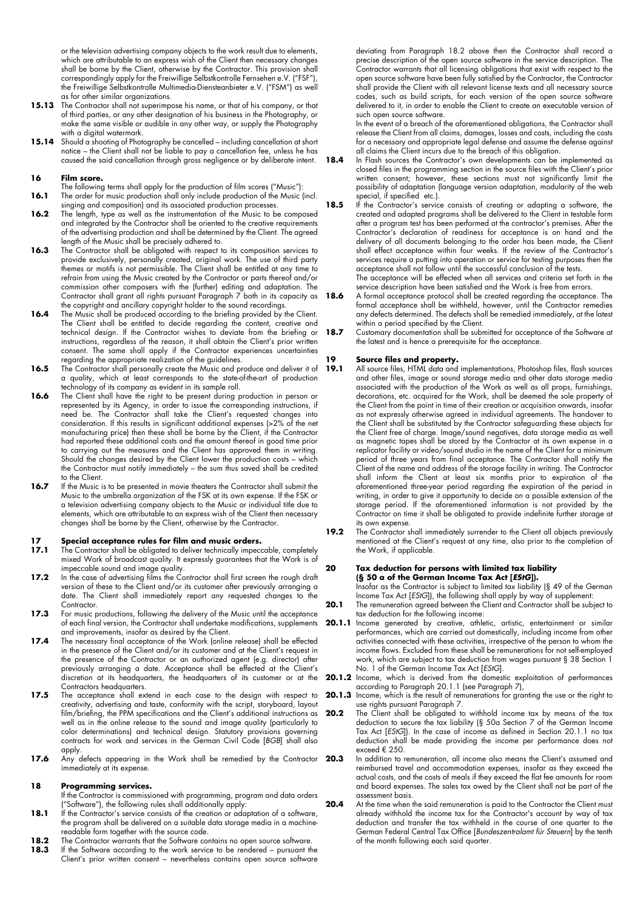or the television advertising company objects to the work result due to elements, which are attributable to an express wish of the Client then necessary changes shall be borne by the Client, otherwise by the Contractor. This provision shall correspondingly apply for the Freiwillige Selbstkontrolle Fernsehen e.V. ("FSF"), the Freiwillige Selbstkontrolle Multimedia-Diensteanbieter e.V. ("FSM") as well as for other similar organizations.

- **15.13** The Contractor shall not superimpose his name, or that of his company, or that of third parties, or any other designation of his business in the Photography, or make the same visible or audible in any other way, or supply the Photography with a digital watermark.
- **15.14** Should a shooting of Photography be cancelled including cancellation at short notice – the Client shall not be liable to pay a cancellation fee, unless he has caused the said cancellation through gross negligence or by deliberate intent.

#### **16 Film score.**

- The following terms shall apply for the production of film scores ("Music"): **16.1** The order for music production shall only include production of the Music (incl.
- singing and composition) and its associated production processes. **16.2** The length, type as well as the instrumentation of the Music to be composed and integrated by the Contractor shall be oriented to the creative requirements of the advertising production and shall be determined by the Client. The agreed length of the Music shall be precisely adhered to.
- **16.3** The Contractor shall be obligated with respect to its composition services to provide exclusively, personally created, original work. The use of third party themes or motifs is not permissible. The Client shall be entitled at any time to refrain from using the Music created by the Contractor or parts thereof and/or commission other composers with the (further) editing and adaptation. The Contractor shall grant all rights pursuant Paragraph 7 both in its capacity as the copyright and ancillary copyright holder to the sound recordings.
- **16.4** The Music shall be produced according to the briefing provided by the Client. The Client shall be entitled to decide regarding the content, creative and technical design. If the Contractor wishes to deviate from the briefing or instructions, regardless of the reason, it shall obtain the Client's prior written consent. The same shall apply if the Contractor experiences uncertainties regarding the appropriate realization of the guidelines.
- **16.5** The Contractor shall personally create the Music and produce and deliver it of a quality, which at least corresponds to the state-of-the-art of production technology of its company as evident in its sample roll.
- **16.6** The Client shall have the right to be present during production in person or represented by its Agency, in order to issue the corresponding instructions, if need be. The Contractor shall take the Client's requested changes into consideration. If this results in significant additional expenses (>2% of the net manufacturing price) then these shall be borne by the Client, if the Contractor had reported these additional costs and the amount thereof in good time prior to carrying out the measures and the Client has approved them in writing. Should the changes desired by the Client lower the production costs - which the Contractor must notify immediately – the sum thus saved shall be credited to the Client.
- **16.7** If the Music is to be presented in movie theaters the Contractor shall submit the Music to the umbrella organization of the FSK at its own expense. If the FSK or a television advertising company objects to the Music or individual title due to elements, which are attributable to an express wish of the Client then necessary changes shall be borne by the Client, otherwise by the Contractor.

# **17 Special acceptance rules for film and music orders.**

- **17.1** The Contractor shall be obligated to deliver technically impeccable, completely mixed Work of broadcast quality. It expressly guarantees that the Work is of impeccable sound and image quality.
- **17.2** In the case of advertising films the Contractor shall first screen the rough draft version of these to the Client and/or its customer after previously arranging a date. The Client shall immediately report any requested changes to the Contractor.
- 17.3 For music productions, following the delivery of the Music until the acceptance of each final version, the Contractor shall undertake modifications, supplements and improvements, insofar as desired by the Client.
- **17.4** The necessary final acceptance of the Work (online release) shall be effected in the presence of the Client and/or its customer and at the Client's request in the presence of the Contractor or an authorized agent (e.g. director) after previously arranging a date. Acceptance shall be effected at the Client's discretion at its headquarters, the headquarters of its customer or at the Contractors headquarters.
- **17.5** The acceptance shall extend in each case to the design with respect to creativity, advertising and taste, conformity with the script, storyboard, layout film/briefing, the PPM specifications and the Client's additional instructions as well as in the online release to the sound and image quality (particularly to color determinations) and technical design. Statutory provisions governing contracts for work and services in the German Civil Code [*BGB*] shall also apply.
- **17.6** Any defects appearing in the Work shall be remedied by the Contractor immediately at its expense.

#### **18 Programming services.**

- If the Contractor is commissioned with programming, program and data orders ("Software"), the following rules shall additionally apply:
- **18.1** If the Contractor's service consists of the creation or adaptation of a software, the program shall be delivered on a suitable data storage media in a machinereadable form together with the source code.
- **18.2** The Contractor warrants that the Software contains no open source software.<br>**18.3** If the Software according to the work service to be rendered pursuant the
- **18.3** If the Software according to the work service to be rendered pursuant the Client's prior written consent – nevertheless contains open source software

deviating from Paragraph 18.2 above then the Contractor shall record a precise description of the open source software in the service description. The Contractor warrants that all licensing obligations that exist with respect to the open source software have been fully satisfied by the Contractor, the Contractor shall provide the Client with all relevant license texts and all necessary source codes, such as build scripts, for each version of the open source software delivered to it, in order to enable the Client to create an executable version of such open source software.

In the event of a breach of the aforementioned obligations, the Contractor shall release the Client from all claims, damages, losses and costs, including the costs for a necessary and appropriate legal defense and assume the defense against all claims the Client incurs due to the breach of this obligation.

- 18.4 In Flash sources the Contractor's own developments can be implemented as closed files in the programming section in the source files with the Client's prior written consent; however, these sections must not significantly limit the possibility of adaptation (language version adaptation, modularity of the web special, if specified etc.).
- 18.5 If the Contractor's service consists of creating or adapting a software, the created and adapted programs shall be delivered to the Client in testable form after a program test has been performed at the contractor's premises. After the Contractor's declaration of readiness for acceptance is on hand and the delivery of all documents belonging to the order has been made, the Client shall effect acceptance within four weeks. If the review of the Contractor's services require a putting into operation or service for testing purposes then the acceptance shall not follow until the successful conclusion of the tests.
	- The acceptance will be effected when all services and criteria set forth in the service description have been satisfied and the Work is free from errors.
- **18.6** A formal acceptance protocol shall be created regarding the acceptance. The formal acceptance shall be withheld, however, until the Contractor remedies any defects determined. The defects shall be remedied immediately, at the latest within a period specified by the Client.
- **18.7** Customary documentation shall be submitted for acceptance of the Software at the latest and is hence a prerequisite for the acceptance.

#### **19 Source files and property.**

- **19.1** All source files, HTML data and implementations, Photoshop files, flash sources and other files, image or sound storage media and other data storage media associated with the production of the Work as well as all props, furnishings, decorations, etc. acquired for the Work, shall be deemed the sole property of the Client from the point in time of their creation or acquisition onwards, insofar as not expressly otherwise agreed in individual agreements. The handover to the Client shall be substituted by the Contractor safeguarding these objects for the Client free of charge. Image/sound negatives, data storage media as well as magnetic tapes shall be stored by the Contractor at its own expense in a replicator facility or video/sound studio in the name of the Client for a minimum period of three years from final acceptance. The Contractor shall notify the Client of the name and address of the storage facility in writing. The Contractor shall inform the Client at least six months prior to expiration of the aforementioned three-year period regarding the expiration of the period in writing, in order to give it opportunity to decide on a possible extension of the storage period. If the aforementioned information is not provided by the Contractor on time it shall be obligated to provide indefinite further storage at its own expense.
- **19.2** The Contractor shall immediately surrender to the Client all objects previously mentioned at the Client's request at any time, also prior to the completion of the Work, if applicable.

#### **20 Tax deduction for persons with limited tax liability**

**(§ 50 a of the German Income Tax Act [***EStG***]).** Insofar as the Contractor is subject to limited tax liability (§ 49 of the German Income Tax Act [*EStG*]), the following shall apply by way of supplement:

- 20.1 The remuneration agreed between the Client and Contractor shall be subject to tax deduction for the following income:
- **20.1.1** Income generated by creative, athletic, artistic, entertainment or similar performances, which are carried out domestically, including income from other activities connected with these activities, irrespective of the person to whom the income flows. Excluded from these shall be remunerations for not self-employed work, which are subject to tax deduction from wages pursuant § 38 Section 1 No. 1 of the German Income Tax Act [*EStG*].
- **20.1.2** Income, which is derived from the domestic exploitation of performances according to Paragraph 20.1.1 (see Paragraph 7),
- **20.1.3** Income, which is the result of remunerations for granting the use or the right to use rights pursuant Paragraph 7.
- **20.2** The Client shall be obligated to withhold income tax by means of the tax deduction to secure the tax liability (§ 50a Section 7 of the German Income Tax Act [*EStG*]). In the case of income as defined in Section 20.1.1 no tax deduction shall be made providing the income per performance does not exceed € 250.
	- **20.3** In addition to remuneration, all income also means the Client's assumed and reimbursed travel and accommodation expenses, insofar as they exceed the actual costs, and the costs of meals if they exceed the flat fee amounts for room and board expenses. The sales tax owed by the Client shall not be part of the assessment basis.
- 20.4 At the time when the said remuneration is paid to the Contractor the Client must already withhold the income tax for the Contractor's account by way of tax deduction and transfer the tax withheld in the course of one quarter to the German Federal Central Tax Office [*Bundeszentralamt für Steuern*] by the tenth of the month following each said quarter.